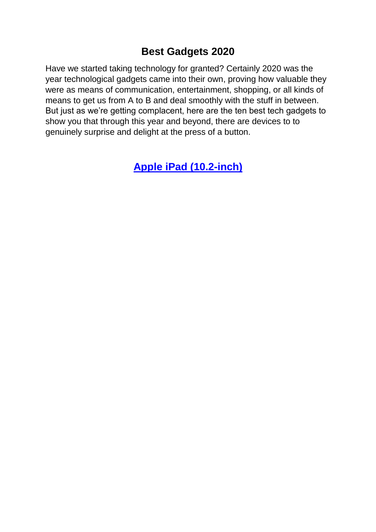### **Best Gadgets 2020**

Have we started taking technology for granted? Certainly 2020 was the year technological gadgets came into their own, proving how valuable they were as means of communication, entertainment, shopping, or all kinds of means to get us from A to B and deal smoothly with the stuff in between. But just as we're getting complacent, here are the ten best tech gadgets to show you that through this year and beyond, there are devices to to genuinely surprise and delight at the press of a button.

**[Apple iPad \(10.2-inch\)](https://www.apple.com/ipad-10.2/)**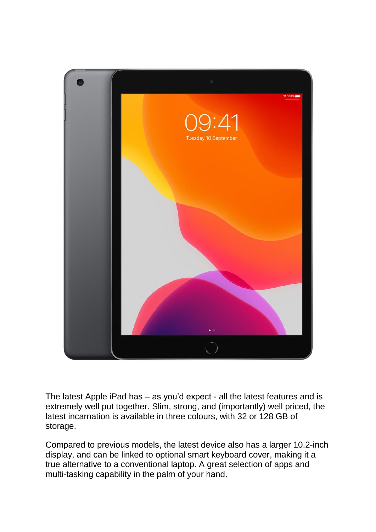

The latest Apple iPad has – as you'd expect - all the latest features and is extremely well put together. Slim, strong, and (importantly) well priced, the latest incarnation is available in three colours, with 32 or 128 GB of storage.

Compared to previous models, the latest device also has a larger 10.2-inch display, and can be linked to optional smart keyboard cover, making it a true alternative to a conventional laptop. A great selection of apps and multi-tasking capability in the palm of your hand.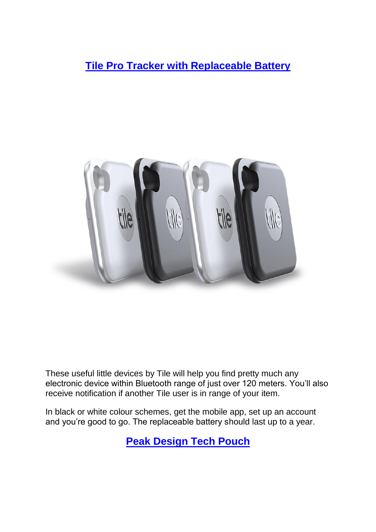**[Tile Pro Tracker with Replaceable Battery](https://www.thetileapp.com/en-gb/store/tiles/pro)**



These useful little devices by Tile will help you find pretty much any electronic device within Bluetooth range of just over 120 meters. You'll also receive notification if another Tile user is in range of your item.

In black or white colour schemes, get the mobile app, set up an account and you're good to go. The replaceable battery should last up to a year.

**[Peak Design Tech Pouch](https://www.peakdesign.com/?currency=USD)**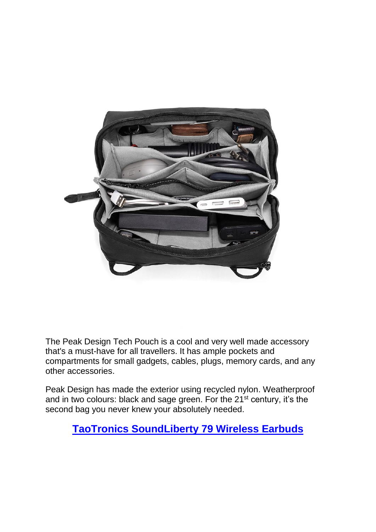

The Peak Design Tech Pouch is a cool and very well made accessory that's a must-have for all travellers. It has ample pockets and compartments for small gadgets, cables, plugs, memory cards, and any other accessories.

Peak Design has made the exterior using recycled nylon. Weatherproof and in two colours: black and sage green. For the 21<sup>st</sup> century, it's the second bag you never knew your absolutely needed.

## **[TaoTronics SoundLiberty 79 Wireless Earbuds](https://www.taotronics.com/products/tt-bh079-smart-ai-tws-headphones)**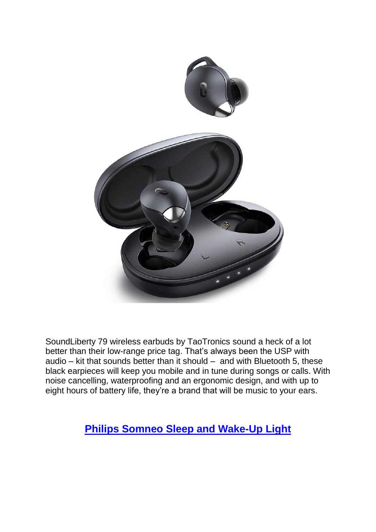

SoundLiberty 79 wireless earbuds by TaoTronics sound a heck of a lot better than their low-range price tag. That's always been the USP with audio  $-$  kit that sounds better than it should  $-$  and with Bluetooth 5, these black earpieces will keep you mobile and in tune during songs or calls. With noise cancelling, waterproofing and an ergonomic design, and with up to eight hours of battery life, they're a brand that will be music to your ears.

# **[Philips Somneo Sleep and Wake-Up Light](https://www.philips.co.uk/c-p/HF3651_01/somneo-sleep-and-wake-up-light-with-with-relaxbreath-for-sleep)**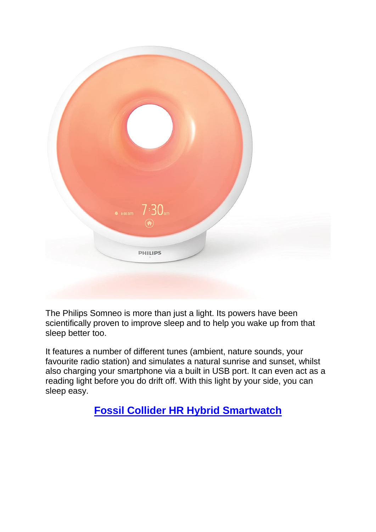

The Philips Somneo is more than just a light. Its powers have been scientifically proven to improve sleep and to help you wake up from that sleep better too.

It features a number of different tunes (ambient, nature sounds, your favourite radio station) and simulates a natural sunrise and sunset, whilst also charging your smartphone via a built in USB port. It can even act as a reading light before you do drift off. With this light by your side, you can sleep easy.

**[Fossil Collider HR Hybrid Smartwatch](https://www.fossil.com/en-gb/smartwatches/hybrid-smartwatches/?utm_source=google&utm_medium=cpc&utm_campaign=conv_brand&gclid=CjwKCAjw1ej5BRBhEiwAfHyh1DQRJU-KZ6AdMI2wZok7oo5jNuwnxrL15iReuAOwwJKA3UnRVyzBNhoCDhAQAvD_BwE&gclsrc=aw.ds)**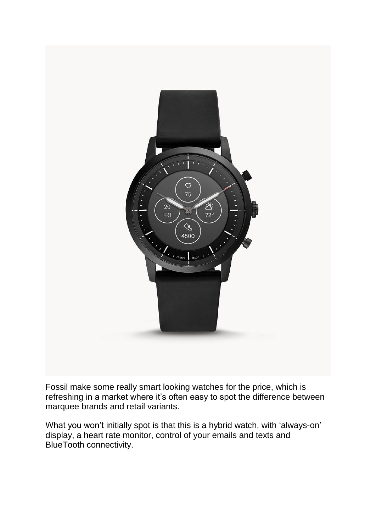

Fossil make some really smart looking watches for the price, which is refreshing in a market where it's often easy to spot the difference between marquee brands and retail variants.

What you won't initially spot is that this is a hybrid watch, with 'always-on' display, a heart rate monitor, control of your emails and texts and BlueTooth connectivity.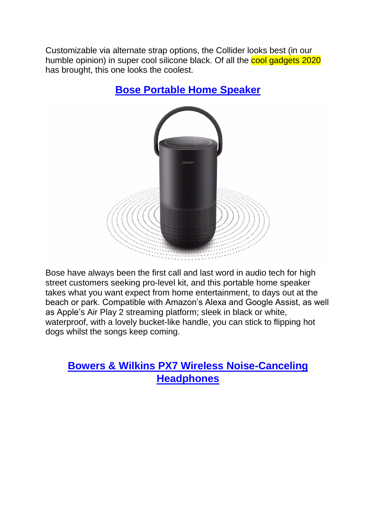Customizable via alternate strap options, the Collider looks best (in our humble opinion) in super cool silicone black. Of all the cool gadgets 2020 has brought, this one looks the coolest.



## **[Bose Portable Home Speaker](https://www.bose.co.uk/en_gb/products/speakers/smart_home/bose-portable-home-speaker.html?mc=05_PS_SL_BO_00_GO_&gclid=CjwKCAjw1ej5BRBhEiwAfHyh1PHnhBtyJ7AAPE4w4T8OVZ88CirRB1cD_FgqLoqyatXaf0lXAaYIFBoCgoAQAvD_BwE&gclsrc=aw.ds#v=bose_portable_home_speaker_black_gb_ie&mc=05_PS_WS_BO_00_GO_)**

Bose have always been the first call and last word in audio tech for high street customers seeking pro-level kit, and this portable home speaker takes what you want expect from home entertainment, to days out at the beach or park. Compatible with Amazon's Alexa and Google Assist, as well as Apple's Air Play 2 streaming platform; sleek in black or white, waterproof, with a lovely bucket-like handle, you can stick to flipping hot dogs whilst the songs keep coming.

## **[Bowers & Wilkins PX7 Wireless Noise-Canceling](https://www.bowerswilkins.com/en-gb/headphones/px7)  [Headphones](https://www.bowerswilkins.com/en-gb/headphones/px7)**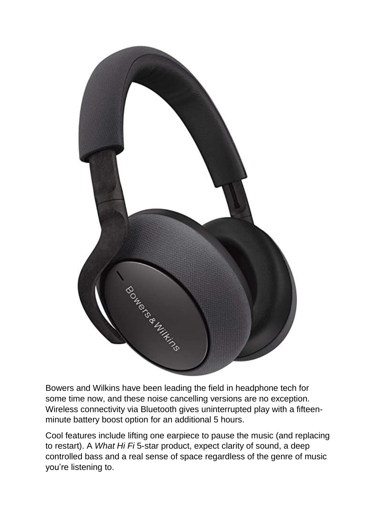

Bowers and Wilkins have been leading the field in headphone tech for some time now, and these noise cancelling versions are no exception. Wireless connectivity via Bluetooth gives uninterrupted play with a fifteenminute battery boost option for an additional 5 hours.

Cool features include lifting one earpiece to pause the music (and replacing to restart). A *What Hi Fi* 5-star product, expect clarity of sound, a deep controlled bass and a real sense of space regardless of the genre of music you're listening to.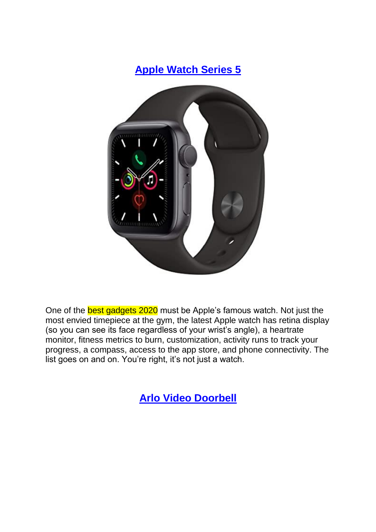

One of the **best gadgets 2020** must be Apple's famous watch. Not just the most envied timepiece at the gym, the latest Apple watch has retina display (so you can see its face regardless of your wrist's angle), a heartrate monitor, fitness metrics to burn, customization, activity runs to track your progress, a compass, access to the app store, and phone connectivity. The list goes on and on. You're right, it's not just a watch.

**[Arlo Video Doorbell](https://www.arlo.com/uk/products/arlo-video-doorbell/default.aspx)**